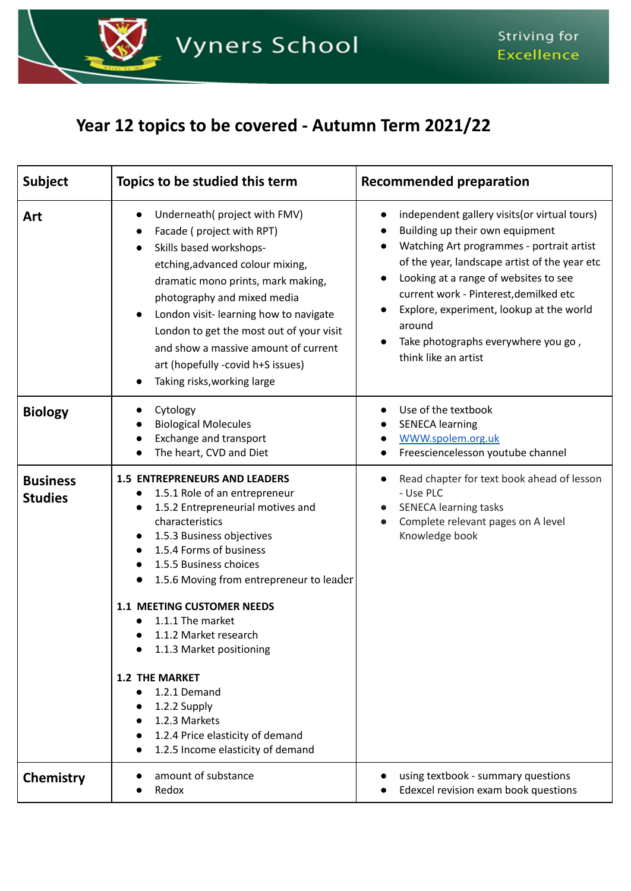

## **Year 12 topics to be covered - Autumn Term 2021/22**

| <b>Subject</b>                    | Topics to be studied this term                                                                                                                                                                                                                                                                                                                                                                                                                                                                                                                         | <b>Recommended preparation</b>                                                                                                                                                                                                                                                                                                                                                         |
|-----------------------------------|--------------------------------------------------------------------------------------------------------------------------------------------------------------------------------------------------------------------------------------------------------------------------------------------------------------------------------------------------------------------------------------------------------------------------------------------------------------------------------------------------------------------------------------------------------|----------------------------------------------------------------------------------------------------------------------------------------------------------------------------------------------------------------------------------------------------------------------------------------------------------------------------------------------------------------------------------------|
| Art                               | Underneath(project with FMV)<br>Facade (project with RPT)<br>Skills based workshops-<br>$\bullet$<br>etching, advanced colour mixing,<br>dramatic mono prints, mark making,<br>photography and mixed media<br>London visit-learning how to navigate<br>London to get the most out of your visit<br>and show a massive amount of current<br>art (hopefully -covid h+S issues)<br>Taking risks, working large                                                                                                                                            | independent gallery visits (or virtual tours)<br>Building up their own equipment<br>Watching Art programmes - portrait artist<br>of the year, landscape artist of the year etc<br>Looking at a range of websites to see<br>current work - Pinterest, demilked etc<br>Explore, experiment, lookup at the world<br>around<br>Take photographs everywhere you go,<br>think like an artist |
| <b>Biology</b>                    | Cytology<br><b>Biological Molecules</b><br>Exchange and transport<br>The heart, CVD and Diet                                                                                                                                                                                                                                                                                                                                                                                                                                                           | Use of the textbook<br><b>SENECA learning</b><br>WWW.spolem.org.uk<br>Freesciencelesson youtube channel                                                                                                                                                                                                                                                                                |
| <b>Business</b><br><b>Studies</b> | <b>1.5 ENTREPRENEURS AND LEADERS</b><br>1.5.1 Role of an entrepreneur<br>1.5.2 Entrepreneurial motives and<br>characteristics<br>1.5.3 Business objectives<br>1.5.4 Forms of business<br>1.5.5 Business choices<br>1.5.6 Moving from entrepreneur to leader<br><b>1.1 MEETING CUSTOMER NEEDS</b><br>1.1.1 The market<br>1.1.2 Market research<br>$\bullet$<br>1.1.3 Market positioning<br><b>1.2 THE MARKET</b><br>1.2.1 Demand<br>$\bullet$<br>1.2.2 Supply<br>1.2.3 Markets<br>1.2.4 Price elasticity of demand<br>1.2.5 Income elasticity of demand | Read chapter for text book ahead of lesson<br>$\bullet$<br>- Use PLC<br><b>SENECA learning tasks</b><br>Complete relevant pages on A level<br>Knowledge book                                                                                                                                                                                                                           |
| Chemistry                         | amount of substance<br>Redox                                                                                                                                                                                                                                                                                                                                                                                                                                                                                                                           | using textbook - summary questions<br>Edexcel revision exam book questions                                                                                                                                                                                                                                                                                                             |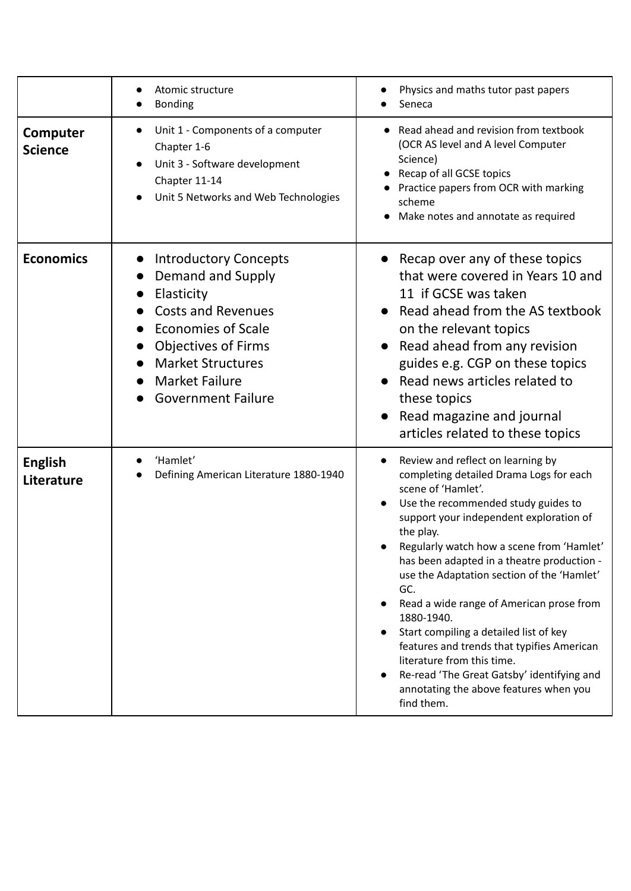|                              | Atomic structure<br><b>Bonding</b>                                                                                                                                                                                                                     | Physics and maths tutor past papers<br>Seneca                                                                                                                                                                                                                                                                                                                                                                                                                                                                                                                                                                                           |
|------------------------------|--------------------------------------------------------------------------------------------------------------------------------------------------------------------------------------------------------------------------------------------------------|-----------------------------------------------------------------------------------------------------------------------------------------------------------------------------------------------------------------------------------------------------------------------------------------------------------------------------------------------------------------------------------------------------------------------------------------------------------------------------------------------------------------------------------------------------------------------------------------------------------------------------------------|
| Computer<br><b>Science</b>   | Unit 1 - Components of a computer<br>Chapter 1-6<br>Unit 3 - Software development<br>Chapter 11-14<br>Unit 5 Networks and Web Technologies                                                                                                             | Read ahead and revision from textbook<br>(OCR AS level and A level Computer<br>Science)<br>Recap of all GCSE topics<br>Practice papers from OCR with marking<br>scheme<br>Make notes and annotate as required                                                                                                                                                                                                                                                                                                                                                                                                                           |
| <b>Economics</b>             | <b>Introductory Concepts</b><br>$\bullet$<br>Demand and Supply<br>Elasticity<br><b>Costs and Revenues</b><br><b>Economies of Scale</b><br><b>Objectives of Firms</b><br><b>Market Structures</b><br><b>Market Failure</b><br><b>Government Failure</b> | Recap over any of these topics<br>that were covered in Years 10 and<br>11 if GCSE was taken<br>Read ahead from the AS textbook<br>on the relevant topics<br>Read ahead from any revision<br>guides e.g. CGP on these topics<br>Read news articles related to<br>these topics<br>Read magazine and journal<br>articles related to these topics                                                                                                                                                                                                                                                                                           |
| <b>English</b><br>Literature | 'Hamlet'<br>Defining American Literature 1880-1940                                                                                                                                                                                                     | Review and reflect on learning by<br>completing detailed Drama Logs for each<br>scene of 'Hamlet'.<br>Use the recommended study guides to<br>support your independent exploration of<br>the play.<br>Regularly watch how a scene from 'Hamlet'<br>has been adapted in a theatre production -<br>use the Adaptation section of the 'Hamlet'<br>GC.<br>Read a wide range of American prose from<br>1880-1940.<br>Start compiling a detailed list of key<br>features and trends that typifies American<br>literature from this time.<br>Re-read 'The Great Gatsby' identifying and<br>annotating the above features when you<br>find them. |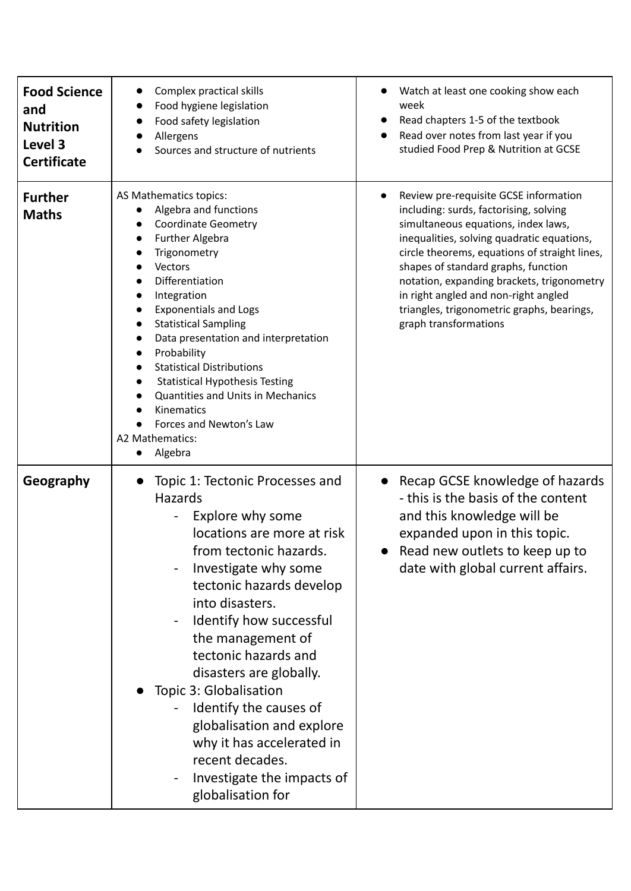| <b>Food Science</b><br>and<br><b>Nutrition</b><br>Level 3<br><b>Certificate</b> | Complex practical skills<br>Food hygiene legislation<br>Food safety legislation<br>Allergens<br>Sources and structure of nutrients                                                                                                                                                                                                                                                                                                                                                                                                   | Watch at least one cooking show each<br>week<br>Read chapters 1-5 of the textbook<br>Read over notes from last year if you<br>studied Food Prep & Nutrition at GCSE                                                                                                                                                                                                                                                       |
|---------------------------------------------------------------------------------|--------------------------------------------------------------------------------------------------------------------------------------------------------------------------------------------------------------------------------------------------------------------------------------------------------------------------------------------------------------------------------------------------------------------------------------------------------------------------------------------------------------------------------------|---------------------------------------------------------------------------------------------------------------------------------------------------------------------------------------------------------------------------------------------------------------------------------------------------------------------------------------------------------------------------------------------------------------------------|
| <b>Further</b><br><b>Maths</b>                                                  | AS Mathematics topics:<br>Algebra and functions<br><b>Coordinate Geometry</b><br><b>Further Algebra</b><br>Trigonometry<br>Vectors<br>Differentiation<br>Integration<br><b>Exponentials and Logs</b><br><b>Statistical Sampling</b><br>Data presentation and interpretation<br>Probability<br><b>Statistical Distributions</b><br><b>Statistical Hypothesis Testing</b><br><b>Quantities and Units in Mechanics</b><br>Kinematics<br>Forces and Newton's Law<br>A2 Mathematics:<br>Algebra<br>$\bullet$                              | Review pre-requisite GCSE information<br>including: surds, factorising, solving<br>simultaneous equations, index laws,<br>inequalities, solving quadratic equations,<br>circle theorems, equations of straight lines,<br>shapes of standard graphs, function<br>notation, expanding brackets, trigonometry<br>in right angled and non-right angled<br>triangles, trigonometric graphs, bearings,<br>graph transformations |
| Geography                                                                       | Topic 1: Tectonic Processes and<br>$\bullet$<br><b>Hazards</b><br>Explore why some<br>locations are more at risk<br>from tectonic hazards.<br>Investigate why some<br>tectonic hazards develop<br>into disasters.<br>Identify how successful<br>$\overline{\phantom{a}}$<br>the management of<br>tectonic hazards and<br>disasters are globally.<br>Topic 3: Globalisation<br>Identify the causes of<br>globalisation and explore<br>why it has accelerated in<br>recent decades.<br>Investigate the impacts of<br>globalisation for | Recap GCSE knowledge of hazards<br>$\bullet$<br>- this is the basis of the content<br>and this knowledge will be<br>expanded upon in this topic.<br>Read new outlets to keep up to<br>date with global current affairs.                                                                                                                                                                                                   |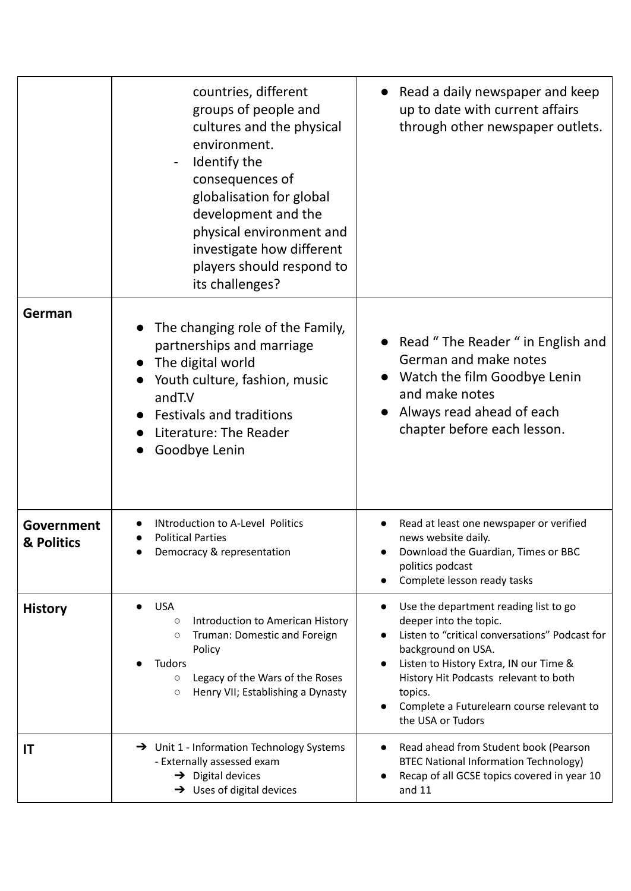|                          | countries, different<br>groups of people and<br>cultures and the physical<br>environment.<br>Identify the<br>consequences of<br>globalisation for global<br>development and the<br>physical environment and<br>investigate how different<br>players should respond to<br>its challenges? | • Read a daily newspaper and keep<br>up to date with current affairs<br>through other newspaper outlets.                                                                                                                                                                                                |
|--------------------------|------------------------------------------------------------------------------------------------------------------------------------------------------------------------------------------------------------------------------------------------------------------------------------------|---------------------------------------------------------------------------------------------------------------------------------------------------------------------------------------------------------------------------------------------------------------------------------------------------------|
| German                   | The changing role of the Family,<br>partnerships and marriage<br>• The digital world<br>Youth culture, fashion, music<br>andT.V<br><b>Festivals and traditions</b><br>Literature: The Reader<br>Goodbye Lenin                                                                            | • Read "The Reader " in English and<br>German and make notes<br>Watch the film Goodbye Lenin<br>and make notes<br>Always read ahead of each<br>chapter before each lesson.                                                                                                                              |
| Government<br>& Politics | <b>INtroduction to A-Level Politics</b><br><b>Political Parties</b><br>Democracy & representation                                                                                                                                                                                        | Read at least one newspaper or verified<br>news website daily.<br>Download the Guardian, Times or BBC<br>politics podcast<br>Complete lesson ready tasks                                                                                                                                                |
| <b>History</b>           | <b>USA</b><br>Introduction to American History<br>$\circlearrowright$<br>Truman: Domestic and Foreign<br>$\circlearrowright$<br>Policy<br><b>Tudors</b><br>Legacy of the Wars of the Roses<br>$\circ$<br>Henry VII; Establishing a Dynasty<br>$\circ$                                    | Use the department reading list to go<br>deeper into the topic.<br>Listen to "critical conversations" Podcast for<br>background on USA.<br>Listen to History Extra, IN our Time &<br>History Hit Podcasts relevant to both<br>topics.<br>Complete a Futurelearn course relevant to<br>the USA or Tudors |
| IT                       | $\rightarrow$ Unit 1 - Information Technology Systems<br>- Externally assessed exam<br>$\rightarrow$ Digital devices<br>$\rightarrow$ Uses of digital devices                                                                                                                            | Read ahead from Student book (Pearson<br><b>BTEC National Information Technology)</b><br>Recap of all GCSE topics covered in year 10<br>and 11                                                                                                                                                          |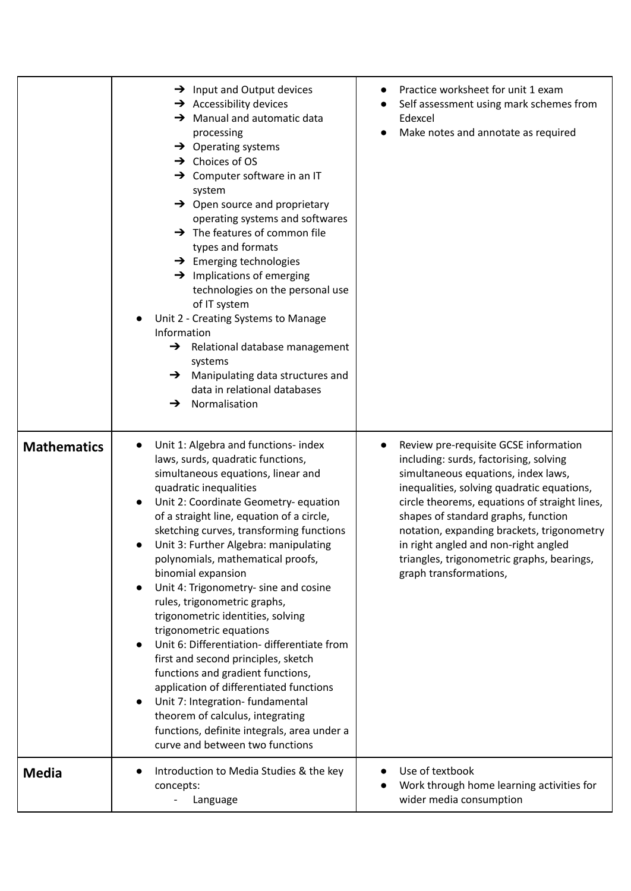|                    | $\rightarrow$ Input and Output devices<br>$\rightarrow$ Accessibility devices<br>$\rightarrow$ Manual and automatic data<br>processing<br>$\rightarrow$ Operating systems<br>$\rightarrow$ Choices of OS<br>$\rightarrow$ Computer software in an IT<br>system<br>$\rightarrow$ Open source and proprietary<br>operating systems and softwares<br>$\rightarrow$ The features of common file<br>types and formats<br>$\rightarrow$ Emerging technologies<br>$\rightarrow$ Implications of emerging<br>technologies on the personal use<br>of IT system<br>Unit 2 - Creating Systems to Manage<br>Information<br>Relational database management<br>→<br>systems<br>Manipulating data structures and<br>→<br>data in relational databases<br>Normalisation<br>→                                                                                                                       | Practice worksheet for unit 1 exam<br>Self assessment using mark schemes from<br>Edexcel<br>Make notes and annotate as required                                                                                                                                                                                                                                                                                            |
|--------------------|------------------------------------------------------------------------------------------------------------------------------------------------------------------------------------------------------------------------------------------------------------------------------------------------------------------------------------------------------------------------------------------------------------------------------------------------------------------------------------------------------------------------------------------------------------------------------------------------------------------------------------------------------------------------------------------------------------------------------------------------------------------------------------------------------------------------------------------------------------------------------------|----------------------------------------------------------------------------------------------------------------------------------------------------------------------------------------------------------------------------------------------------------------------------------------------------------------------------------------------------------------------------------------------------------------------------|
| <b>Mathematics</b> | Unit 1: Algebra and functions- index<br>$\bullet$<br>laws, surds, quadratic functions,<br>simultaneous equations, linear and<br>quadratic inequalities<br>Unit 2: Coordinate Geometry- equation<br>$\bullet$<br>of a straight line, equation of a circle,<br>sketching curves, transforming functions<br>Unit 3: Further Algebra: manipulating<br>polynomials, mathematical proofs,<br>binomial expansion<br>Unit 4: Trigonometry- sine and cosine<br>rules, trigonometric graphs,<br>trigonometric identities, solving<br>trigonometric equations<br>Unit 6: Differentiation- differentiate from<br>first and second principles, sketch<br>functions and gradient functions,<br>application of differentiated functions<br>Unit 7: Integration- fundamental<br>theorem of calculus, integrating<br>functions, definite integrals, area under a<br>curve and between two functions | Review pre-requisite GCSE information<br>including: surds, factorising, solving<br>simultaneous equations, index laws,<br>inequalities, solving quadratic equations,<br>circle theorems, equations of straight lines,<br>shapes of standard graphs, function<br>notation, expanding brackets, trigonometry<br>in right angled and non-right angled<br>triangles, trigonometric graphs, bearings,<br>graph transformations, |
| <b>Media</b>       | Introduction to Media Studies & the key<br>concepts:<br>Language                                                                                                                                                                                                                                                                                                                                                                                                                                                                                                                                                                                                                                                                                                                                                                                                                   | Use of textbook<br>Work through home learning activities for<br>wider media consumption                                                                                                                                                                                                                                                                                                                                    |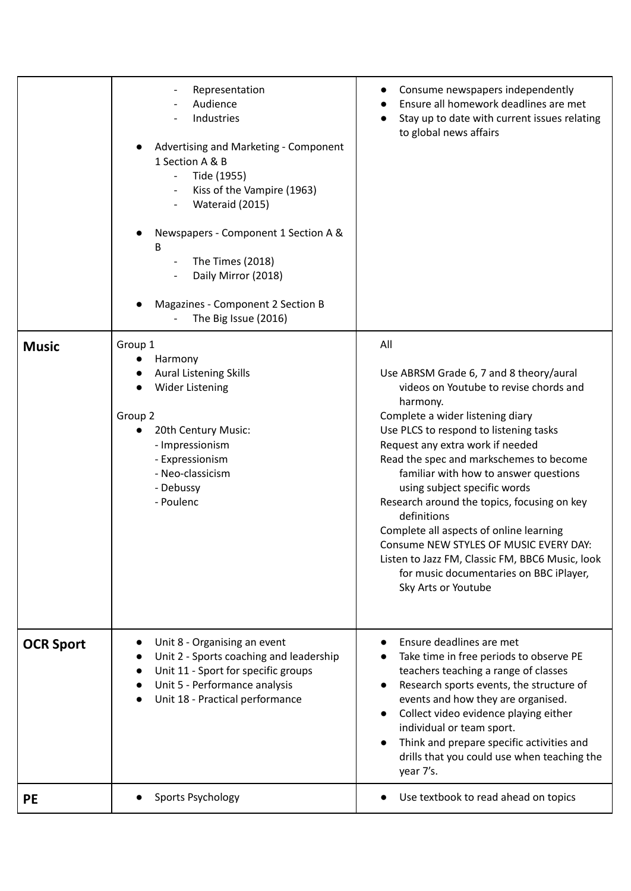|                  | Representation<br>Audience<br>Industries<br>Advertising and Marketing - Component<br>1 Section A & B<br>Tide (1955)<br>Kiss of the Vampire (1963)<br>Wateraid (2015)<br>Newspapers - Component 1 Section A &<br>В<br>The Times (2018)<br>Daily Mirror (2018)<br>Magazines - Component 2 Section B<br>The Big Issue (2016) | Consume newspapers independently<br>Ensure all homework deadlines are met<br>Stay up to date with current issues relating<br>to global news affairs                                                                                                                                                                                                                                                                                                                                                                                                                                                                |
|------------------|---------------------------------------------------------------------------------------------------------------------------------------------------------------------------------------------------------------------------------------------------------------------------------------------------------------------------|--------------------------------------------------------------------------------------------------------------------------------------------------------------------------------------------------------------------------------------------------------------------------------------------------------------------------------------------------------------------------------------------------------------------------------------------------------------------------------------------------------------------------------------------------------------------------------------------------------------------|
| <b>Music</b>     | Group 1<br>Harmony<br><b>Aural Listening Skills</b><br><b>Wider Listening</b><br>Group 2<br>20th Century Music:<br>- Impressionism<br>- Expressionism<br>- Neo-classicism<br>- Debussy<br>- Poulenc                                                                                                                       | All<br>Use ABRSM Grade 6, 7 and 8 theory/aural<br>videos on Youtube to revise chords and<br>harmony.<br>Complete a wider listening diary<br>Use PLCS to respond to listening tasks<br>Request any extra work if needed<br>Read the spec and markschemes to become<br>familiar with how to answer questions<br>using subject specific words<br>Research around the topics, focusing on key<br>definitions<br>Complete all aspects of online learning<br>Consume NEW STYLES OF MUSIC EVERY DAY:<br>Listen to Jazz FM, Classic FM, BBC6 Music, look<br>for music documentaries on BBC iPlayer,<br>Sky Arts or Youtube |
| <b>OCR Sport</b> | Unit 8 - Organising an event<br>Unit 2 - Sports coaching and leadership<br>Unit 11 - Sport for specific groups<br>Unit 5 - Performance analysis<br>Unit 18 - Practical performance                                                                                                                                        | Ensure deadlines are met<br>Take time in free periods to observe PE<br>teachers teaching a range of classes<br>Research sports events, the structure of<br>events and how they are organised.<br>Collect video evidence playing either<br>individual or team sport.<br>Think and prepare specific activities and<br>drills that you could use when teaching the<br>year 7's.                                                                                                                                                                                                                                       |
| <b>PE</b>        | Sports Psychology                                                                                                                                                                                                                                                                                                         | Use textbook to read ahead on topics                                                                                                                                                                                                                                                                                                                                                                                                                                                                                                                                                                               |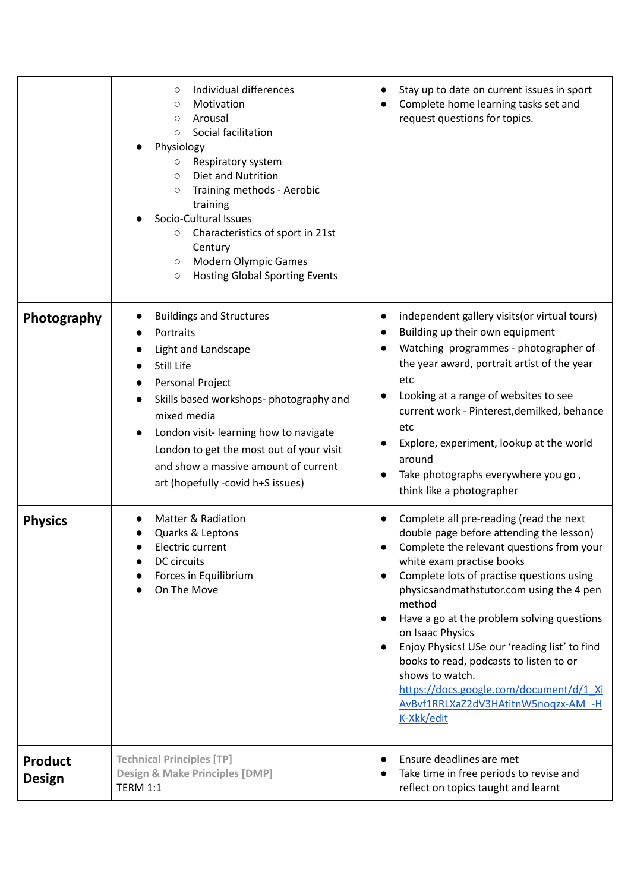|                                 | Individual differences<br>О<br>Motivation<br>О<br>Arousal<br>$\circ$<br>Social facilitation<br>$\circ$<br>Physiology<br>Respiratory system<br>$\circ$<br>Diet and Nutrition<br>$\circlearrowright$<br>Training methods - Aerobic<br>$\bigcirc$<br>training<br>Socio-Cultural Issues<br>Characteristics of sport in 21st<br>$\circ$<br>Century<br><b>Modern Olympic Games</b><br>$\circ$<br><b>Hosting Global Sporting Events</b><br>$\circ$ | Stay up to date on current issues in sport<br>Complete home learning tasks set and<br>request questions for topics.                                                                                                                                                                                                                                                                                                                                                                                                                               |
|---------------------------------|---------------------------------------------------------------------------------------------------------------------------------------------------------------------------------------------------------------------------------------------------------------------------------------------------------------------------------------------------------------------------------------------------------------------------------------------|---------------------------------------------------------------------------------------------------------------------------------------------------------------------------------------------------------------------------------------------------------------------------------------------------------------------------------------------------------------------------------------------------------------------------------------------------------------------------------------------------------------------------------------------------|
| Photography                     | <b>Buildings and Structures</b><br>Portraits<br>Light and Landscape<br>Still Life<br>Personal Project<br>Skills based workshops- photography and<br>$\bullet$<br>mixed media<br>London visit-learning how to navigate<br>London to get the most out of your visit<br>and show a massive amount of current<br>art (hopefully -covid h+S issues)                                                                                              | independent gallery visits (or virtual tours)<br>Building up their own equipment<br>Watching programmes - photographer of<br>the year award, portrait artist of the year<br>etc<br>Looking at a range of websites to see<br>current work - Pinterest, demilked, behance<br>etc<br>Explore, experiment, lookup at the world<br>around<br>Take photographs everywhere you go,<br>think like a photographer                                                                                                                                          |
| <b>Physics</b>                  | <b>Matter &amp; Radiation</b><br>Quarks & Leptons<br>Electric current<br>DC circuits<br>Forces in Equilibrium<br>On The Move                                                                                                                                                                                                                                                                                                                | Complete all pre-reading (read the next<br>double page before attending the lesson)<br>Complete the relevant questions from your<br>white exam practise books<br>Complete lots of practise questions using<br>physicsandmathstutor.com using the 4 pen<br>method<br>Have a go at the problem solving questions<br>on Isaac Physics<br>Enjoy Physics! USe our 'reading list' to find<br>books to read, podcasts to listen to or<br>shows to watch.<br>https://docs.google.com/document/d/1_Xi<br>AvBvf1RRLXaZ2dV3HAtitnW5noqzx-AM -H<br>K-Xkk/edit |
| <b>Product</b><br><b>Design</b> | <b>Technical Principles [TP]</b><br><b>Design &amp; Make Principles [DMP]</b><br><b>TERM 1:1</b>                                                                                                                                                                                                                                                                                                                                            | Ensure deadlines are met<br>Take time in free periods to revise and<br>reflect on topics taught and learnt                                                                                                                                                                                                                                                                                                                                                                                                                                        |